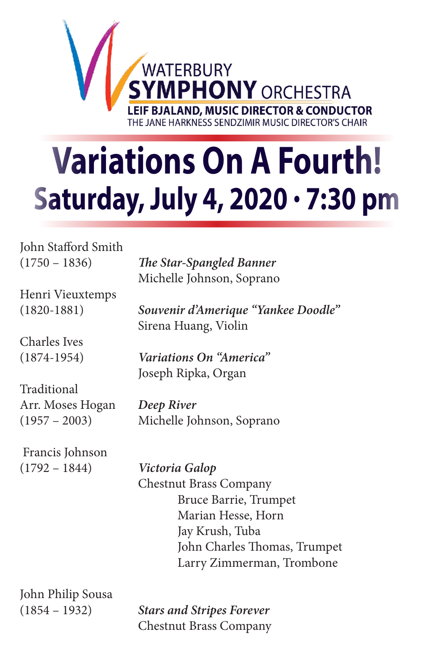

## **Variations On A Fourth! Saturday, July 4, 2020 · 7:30 pm**

John Stafford Smith

(1750 – 1836) *The Star-Spangled Banner*  Michelle Johnson, Soprano

Henri Vieuxtemps

Charles Ives

Traditional Arr. Moses Hogan *Deep River*

 Francis Johnson (1792 – 1844) *Victoria Galop* 

(1820-1881) *Souvenir d'Amerique "Yankee Doodle"* Sirena Huang, Violin

(1874-1954) *Variations On "America"* Joseph Ripka, Organ

(1957 – 2003) Michelle Johnson, Soprano

 Chestnut Brass Company Bruce Barrie, Trumpet Marian Hesse, Horn Jay Krush, Tuba John Charles Thomas, Trumpet Larry Zimmerman, Trombone

John Philip Sousa

(1854 – 1932) *Stars and Stripes Forever* Chestnut Brass Company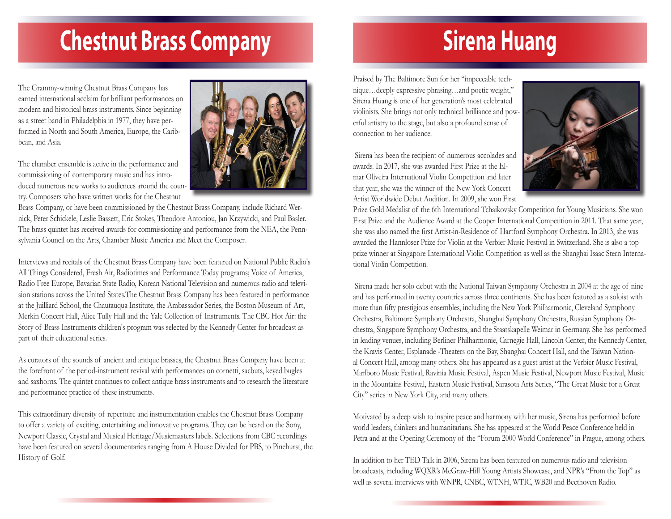## **Chestnut Brass Company**

The Grammy-winning Chestnut Brass Company has earned international acclaim for brilliant performances on modern and historical brass instruments. Since beginning as a street band in Philadelphia in 1977, they have performed in North and South America, Europe, the Caribbean, and Asia.

The chamber ensemble is active in the performance and commissioning of contemporary music and has introduced numerous new works to audiences around the country. Composers who have written works for the Chestnut



Brass Company, or have been commissioned by the Chestnut Brass Company, include Richard Wernick, Peter Schickele, Leslie Bassett, Eric Stokes, Theodore Antoniou, Jan Krzywicki, and Paul Basler. The brass quintet has received awards for commissioning and performance from the NEA, the Pennsylvania Council on the Arts, Chamber Music America and Meet the Composer.

Interviews and recitals of the Chestnut Brass Company have been featured on National Public Radio's All Things Considered, Fresh Air, Radiotimes and Performance Today programs; Voice of America, Radio Free Europe, Bavarian State Radio, Korean National Television and numerous radio and television stations across the United States.The Chestnut Brass Company has been featured in performance at the Juilliard School, the Chautauqua Institute, the Ambassador Series, the Boston Museum of Art, Merkin Concert Hall, Alice Tully Hall and the Yale Collection of Instruments. The CBC Hot Air: the Story of Brass Instruments children's program was selected by the Kennedy Center for broadcast as part of their educational series.

As curators of the sounds of ancient and antique brasses, the Chestnut Brass Company have been at the forefront of the period-instrument revival with performances on cornetti, sacbuts, keyed bugles and saxhorns. The quintet continues to collect antique brass instruments and to research the literature and performance practice of these instruments.

This extraordinary diversity of repertoire and instrumentation enables the Chestnut Brass Company to offer a variety of exciting, entertaining and innovative programs. They can be heard on the Sony, Newport Classic, Crystal and Musical Heritage/Musicmasters labels. Selections from CBC recordings have been featured on several documentaries ranging from A House Divided for PBS, to Pinehurst, the History of Golf.

## **Sirena Huang**

Praised by The Baltimore Sun for her "impeccable technique…deeply expressive phrasing…and poetic weight," Sirena Huang is one of her generation's most celebrated violinists. She brings not only technical brilliance and powerful artistry to the stage, but also a profound sense of connection to her audience.

 Sirena has been the recipient of numerous accolades and awards. In 2017, she was awarded First Prize at the Elmar Oliveira International Violin Competition and later that year, she was the winner of the New York Concert Artist Worldwide Debut Audition. In 2009, she won First



Prize Gold Medalist of the 6th International Tchaikovsky Competition for Young Musicians. She won First Prize and the Audience Award at the Cooper International Competition in 2011. That same year, she was also named the first Artist-in-Residence of Hartford Symphony Orchestra. In 2013, she was awarded the Hannloser Prize for Violin at the Verbier Music Festival in Switzerland. She is also a top prize winner at Singapore International Violin Competition as well as the Shanghai Isaac Stern International Violin Competition.

 Sirena made her solo debut with the National Taiwan Symphony Orchestra in 2004 at the age of nine and has performed in twenty countries across three continents. She has been featured as a soloist with more than fifty prestigious ensembles, including the New York Philharmonic, Cleveland Symphony Orchestra, Baltimore Symphony Orchestra, Shanghai Symphony Orchestra, Russian Symphony Orchestra, Singapore Symphony Orchestra, and the Staatskapelle Weimar in Germany. She has performed in leading venues, including Berliner Philharmonie, Carnegie Hall, Lincoln Center, the Kennedy Center, the Kravis Center, Esplanade -Theaters on the Bay, Shanghai Concert Hall, and the Taiwan National Concert Hall, among many others. She has appeared as a guest artist at the Verbier Music Festival, Marlboro Music Festival, Ravinia Music Festival, Aspen Music Festival, Newport Music Festival, Music in the Mountains Festival, Eastern Music Festival, Sarasota Arts Series, "The Great Music for a Great City" series in New York City, and many others.

Motivated by a deep wish to inspire peace and harmony with her music, Sirena has performed before world leaders, thinkers and humanitarians. She has appeared at the World Peace Conference held in Petra and at the Opening Ceremony of the "Forum 2000 World Conference" in Prague, among others.

In addition to her TED Talk in 2006, Sirena has been featured on numerous radio and television broadcasts, including WQXR's McGraw-Hill Young Artists Showcase, and NPR's "From the Top" as well as several interviews with WNPR, CNBC, WTNH, WTIC, WB20 and Beethoven Radio.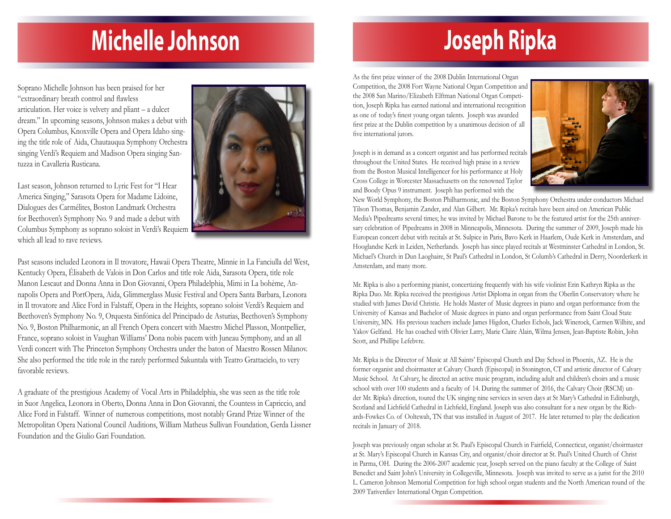### **Michelle Johnson**

Soprano Michelle Johnson has been praised for her "extraordinary breath control and flawless articulation. Her voice is velvety and pliant – a dulcet dream." In upcoming seasons, Johnson makes a debut with Opera Columbus, Knoxville Opera and Opera Idaho singing the title role of Aida, Chautauqua Symphony Orchestra singing Verdi's Requiem and Madison Opera singing Santuzza in Cavalleria Rusticana.

Last season, Johnson returned to Lyric Fest for "I Hear America Singing," Sarasota Opera for Madame Lidoine, Dialogues des Carmélites, Boston Landmark Orchestra for Beethoven's Symphony No. 9 and made a debut with Columbus Symphony as soprano soloist in Verdi's Requiem which all lead to rave reviews.



Past seasons included Leonora in Il trovatore, Hawaii Opera Theatre, Minnie in La Fanciulla del West, Kentucky Opera, Élisabeth de Valois in Don Carlos and title role Aida, Sarasota Opera, title role Manon Lescaut and Donna Anna in Don Giovanni, Opera Philadelphia, Mimi in La bohème, Annapolis Opera and PortOpera, Aida, Glimmerglass Music Festival and Opera Santa Barbara, Leonora in Il trovatore and Alice Ford in Falstaff, Opera in the Heights, soprano soloist Verdi's Requiem and Beethoven's Symphony No. 9, Orquesta Sinfónica del Principado de Asturias, Beethoven's Symphony No. 9, Boston Philharmonic, an all French Opera concert with Maestro Michel Plasson, Montpellier, France, soprano soloist in Vaughan Williams' Dona nobis pacem with Juneau Symphony, and an all Verdi concert with The Princeton Symphony Orchestra under the baton of Maestro Rossen Milanov. She also performed the title role in the rarely performed Sakuntala with Teatro Grattacielo, to very favorable reviews.

A graduate of the prestigious Academy of Vocal Arts in Philadelphia, she was seen as the title role in Suor Angelica, Leonora in Oberto, Donna Anna in Don Giovanni, the Countess in Capriccio, and Alice Ford in Falstaff. Winner of numerous competitions, most notably Grand Prize Winner of the Metropolitan Opera National Council Auditions, William Matheus Sullivan Foundation, Gerda Lissner Foundation and the Giulio Gari Foundation.

## **Joseph Ripka**

As the first prize winner of the 2008 Dublin International Organ Competition, the 2008 Fort Wayne National Organ Competition and the 2008 San Marino/Elizabeth Elftman National Organ Competition, Joseph Ripka has earned national and international recognition as one of today's finest young organ talents. Joseph was awarded first prize at the Dublin competition by a unanimous decision of all five international jurors.

Joseph is in demand as a concert organist and has performed recitals throughout the United States. He received high praise in a review from the Boston Musical Intelligencer for his performance at Holy Cross College in Worcester Massachusetts on the renowned Taylor and Boody Opus 9 instrument. Joseph has performed with the



New World Symphony, the Boston Philharmonic, and the Boston Symphony Orchestra under conductors Michael Tilson Thomas, Benjamin Zander, and Alan Gilbert. Mr. Ripka's recitals have been aired on American Public Media's Pipedreams several times; he was invited by Michael Barone to be the featured artist for the 25th anniversary celebration of Pipedreams in 2008 in Minneapolis, Minnesota. During the summer of 2009, Joseph made his European concert debut with recitals at St. Sulpice in Paris, Bavo Kerk in Haarlem, Oude Kerk in Amsterdam, and Hooglandse Kerk in Leiden, Netherlands. Joseph has since played recitals at Westminster Cathedral in London, St. Michael's Church in Dun Laoghaire, St Paul's Cathedral in London, St Columb's Cathedral in Derry, Noorderkerk in Amsterdam, and many more.

Mr. Ripka is also a performing pianist, concertizing frequently with his wife violinist Erin Kathryn Ripka as the Ripka Duo. Mr. Ripka received the prestigious Artist Diploma in organ from the Oberlin Conservatory where he studied with James David Christie. He holds Master of Music degrees in piano and organ performance from the University of Kansas and Bachelor of Music degrees in piano and organ performance from Saint Cloud State University, MN. His previous teachers include James Higdon, Charles Echols, Jack Winerock, Carmen Wilhite, and Yakov Gelfand. He has coached with Olivier Latry, Marie Claire Alain, Wilma Jensen, Jean-Baptiste Robin, John Scott, and Phillipe Lefebvre.

Mr. Ripka is the Director of Music at All Saints' Episcopal Church and Day School in Phoenix, AZ. He is the former organist and choirmaster at Calvary Church (Episcopal) in Stonington, CT and artistic director of Calvary Music School. At Calvary, he directed an active music program, including adult and children's choirs and a music school with over 100 students and a faculty of 14. During the summer of 2016, the Calvary Choir (RSCM) under Mr. Ripka's direction, toured the UK singing nine services in seven days at St Mary's Cathedral in Edinburgh, Scotland and Lichfield Cathedral in Lichfield, England. Joseph was also consultant for a new organ by the Richards-Fowkes Co. of Ooltewah, TN that was installed in August of 2017. He later returned to play the dedication recitals in January of 2018.

Joseph was previously organ scholar at St. Paul's Episcopal Church in Fairfield, Connecticut, organist/choirmaster at St. Mary's Episcopal Church in Kansas City, and organist/choir director at St. Paul's United Church of Christ in Parma, OH. During the 2006-2007 academic year, Joseph served on the piano faculty at the College of Saint Benedict and Saint John's University in Collegeville, Minnesota. Joseph was invited to serve as a jurist for the 2010 L. Cameron Johnson Memorial Competition for high school organ students and the North American round of the 2009 Tariverdiev International Organ Competition.